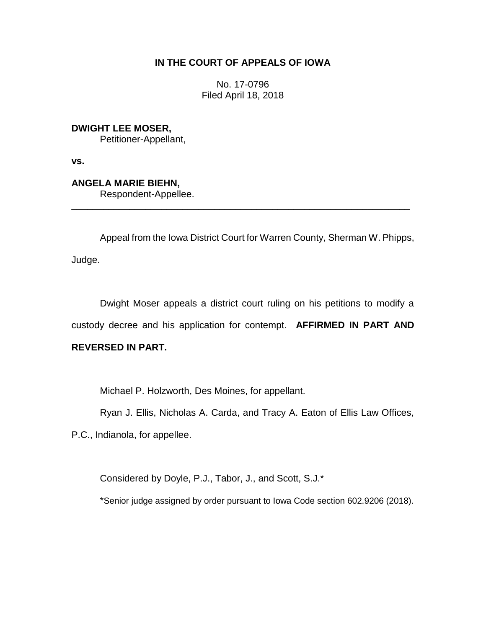# **IN THE COURT OF APPEALS OF IOWA**

No. 17-0796 Filed April 18, 2018

**DWIGHT LEE MOSER,** Petitioner-Appellant,

**vs.**

**ANGELA MARIE BIEHN,** Respondent-Appellee.

Appeal from the Iowa District Court for Warren County, Sherman W. Phipps, Judge.

\_\_\_\_\_\_\_\_\_\_\_\_\_\_\_\_\_\_\_\_\_\_\_\_\_\_\_\_\_\_\_\_\_\_\_\_\_\_\_\_\_\_\_\_\_\_\_\_\_\_\_\_\_\_\_\_\_\_\_\_\_\_\_\_

Dwight Moser appeals a district court ruling on his petitions to modify a custody decree and his application for contempt. **AFFIRMED IN PART AND** 

# **REVERSED IN PART.**

Michael P. Holzworth, Des Moines, for appellant.

Ryan J. Ellis, Nicholas A. Carda, and Tracy A. Eaton of Ellis Law Offices,

P.C., Indianola, for appellee.

Considered by Doyle, P.J., Tabor, J., and Scott, S.J.\*

\*Senior judge assigned by order pursuant to Iowa Code section 602.9206 (2018).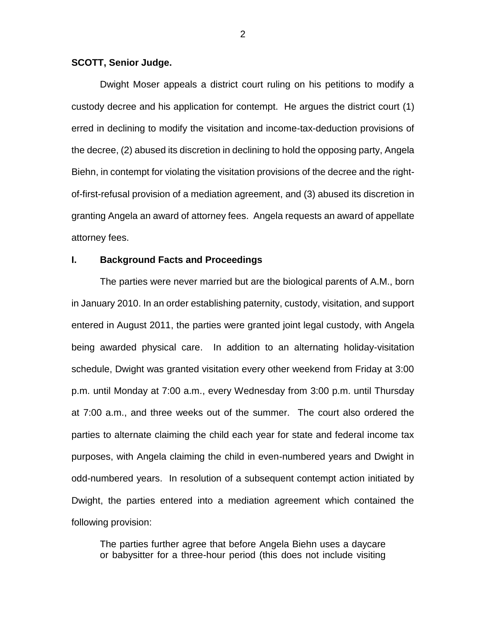#### **SCOTT, Senior Judge.**

Dwight Moser appeals a district court ruling on his petitions to modify a custody decree and his application for contempt. He argues the district court (1) erred in declining to modify the visitation and income-tax-deduction provisions of the decree, (2) abused its discretion in declining to hold the opposing party, Angela Biehn, in contempt for violating the visitation provisions of the decree and the rightof-first-refusal provision of a mediation agreement, and (3) abused its discretion in granting Angela an award of attorney fees. Angela requests an award of appellate attorney fees.

# **I. Background Facts and Proceedings**

The parties were never married but are the biological parents of A.M., born in January 2010. In an order establishing paternity, custody, visitation, and support entered in August 2011, the parties were granted joint legal custody, with Angela being awarded physical care. In addition to an alternating holiday-visitation schedule, Dwight was granted visitation every other weekend from Friday at 3:00 p.m. until Monday at 7:00 a.m., every Wednesday from 3:00 p.m. until Thursday at 7:00 a.m., and three weeks out of the summer. The court also ordered the parties to alternate claiming the child each year for state and federal income tax purposes, with Angela claiming the child in even-numbered years and Dwight in odd-numbered years. In resolution of a subsequent contempt action initiated by Dwight, the parties entered into a mediation agreement which contained the following provision:

The parties further agree that before Angela Biehn uses a daycare or babysitter for a three-hour period (this does not include visiting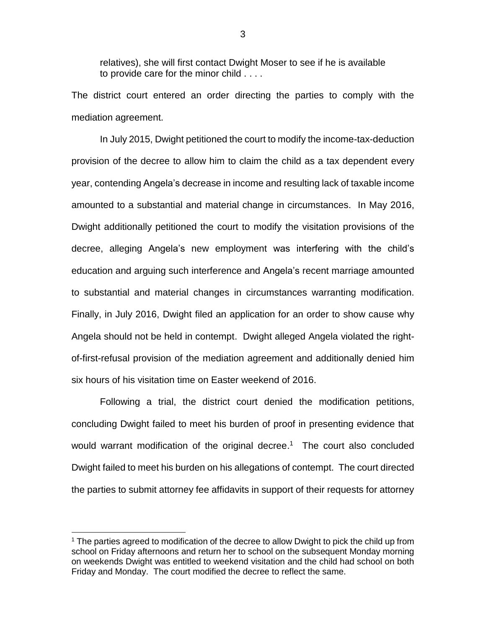relatives), she will first contact Dwight Moser to see if he is available to provide care for the minor child . . . .

The district court entered an order directing the parties to comply with the mediation agreement.

In July 2015, Dwight petitioned the court to modify the income-tax-deduction provision of the decree to allow him to claim the child as a tax dependent every year, contending Angela's decrease in income and resulting lack of taxable income amounted to a substantial and material change in circumstances. In May 2016, Dwight additionally petitioned the court to modify the visitation provisions of the decree, alleging Angela's new employment was interfering with the child's education and arguing such interference and Angela's recent marriage amounted to substantial and material changes in circumstances warranting modification. Finally, in July 2016, Dwight filed an application for an order to show cause why Angela should not be held in contempt. Dwight alleged Angela violated the rightof-first-refusal provision of the mediation agreement and additionally denied him six hours of his visitation time on Easter weekend of 2016.

Following a trial, the district court denied the modification petitions, concluding Dwight failed to meet his burden of proof in presenting evidence that would warrant modification of the original decree. 1 The court also concluded Dwight failed to meet his burden on his allegations of contempt. The court directed the parties to submit attorney fee affidavits in support of their requests for attorney

 $\overline{a}$ 

<sup>&</sup>lt;sup>1</sup> The parties agreed to modification of the decree to allow Dwight to pick the child up from school on Friday afternoons and return her to school on the subsequent Monday morning on weekends Dwight was entitled to weekend visitation and the child had school on both Friday and Monday. The court modified the decree to reflect the same.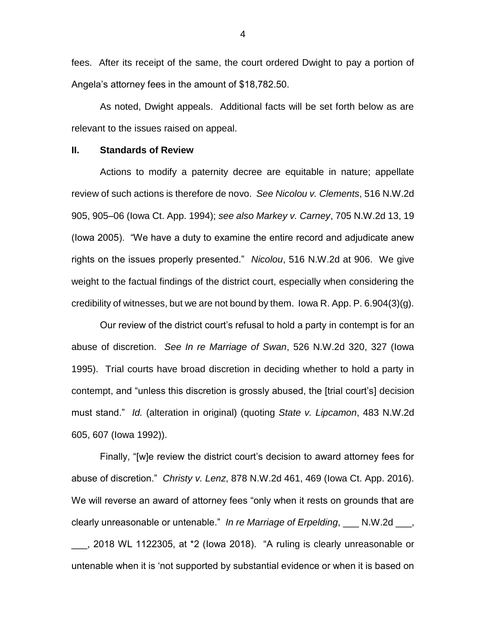fees. After its receipt of the same, the court ordered Dwight to pay a portion of Angela's attorney fees in the amount of \$18,782.50.

As noted, Dwight appeals. Additional facts will be set forth below as are relevant to the issues raised on appeal.

### **II. Standards of Review**

Actions to modify a paternity decree are equitable in nature; appellate review of such actions is therefore de novo. *See Nicolou v. Clements*, 516 N.W.2d 905, 905–06 (Iowa Ct. App. 1994); *see also Markey v. Carney*, 705 N.W.2d 13, 19 (Iowa 2005). "We have a duty to examine the entire record and adjudicate anew rights on the issues properly presented." *Nicolou*, 516 N.W.2d at 906. We give weight to the factual findings of the district court, especially when considering the credibility of witnesses, but we are not bound by them. Iowa R. App. P.  $6.904(3)(g)$ .

Our review of the district court's refusal to hold a party in contempt is for an abuse of discretion. *See In re Marriage of Swan*, 526 N.W.2d 320, 327 (Iowa 1995). Trial courts have broad discretion in deciding whether to hold a party in contempt, and "unless this discretion is grossly abused, the [trial court's] decision must stand." *Id.* (alteration in original) (quoting *State v. Lipcamon*, 483 N.W.2d 605, 607 (Iowa 1992)).

Finally, "[w]e review the district court's decision to award attorney fees for abuse of discretion." *Christy v. Lenz*, 878 N.W.2d 461, 469 (Iowa Ct. App. 2016). We will reverse an award of attorney fees "only when it rests on grounds that are clearly unreasonable or untenable." *In re Marriage of Erpelding*, \_\_\_ N.W.2d \_\_\_, \_\_\_, 2018 WL 1122305, at \*2 (Iowa 2018). "A ruling is clearly unreasonable or untenable when it is 'not supported by substantial evidence or when it is based on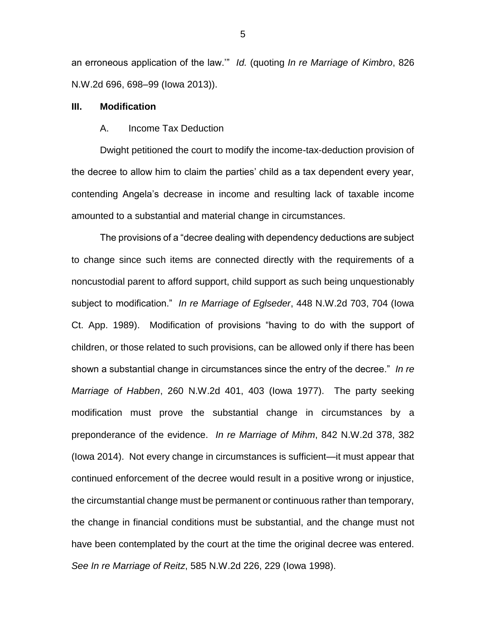an erroneous application of the law.'" *Id.* (quoting *In re Marriage of Kimbro*, 826 N.W.2d 696, 698–99 (Iowa 2013)).

#### **III. Modification**

#### A. Income Tax Deduction

Dwight petitioned the court to modify the income-tax-deduction provision of the decree to allow him to claim the parties' child as a tax dependent every year, contending Angela's decrease in income and resulting lack of taxable income amounted to a substantial and material change in circumstances.

The provisions of a "decree dealing with dependency deductions are subject to change since such items are connected directly with the requirements of a noncustodial parent to afford support, child support as such being unquestionably subject to modification." *In re Marriage of Eglseder*, 448 N.W.2d 703, 704 (Iowa Ct. App. 1989). Modification of provisions "having to do with the support of children, or those related to such provisions, can be allowed only if there has been shown a substantial change in circumstances since the entry of the decree." *In re Marriage of Habben*, 260 N.W.2d 401, 403 (Iowa 1977). The party seeking modification must prove the substantial change in circumstances by a preponderance of the evidence. *In re Marriage of Mihm*, 842 N.W.2d 378, 382 (Iowa 2014). Not every change in circumstances is sufficient—it must appear that continued enforcement of the decree would result in a positive wrong or injustice, the circumstantial change must be permanent or continuous rather than temporary, the change in financial conditions must be substantial, and the change must not have been contemplated by the court at the time the original decree was entered. *See In re Marriage of Reitz*, 585 N.W.2d 226, 229 (Iowa 1998).

5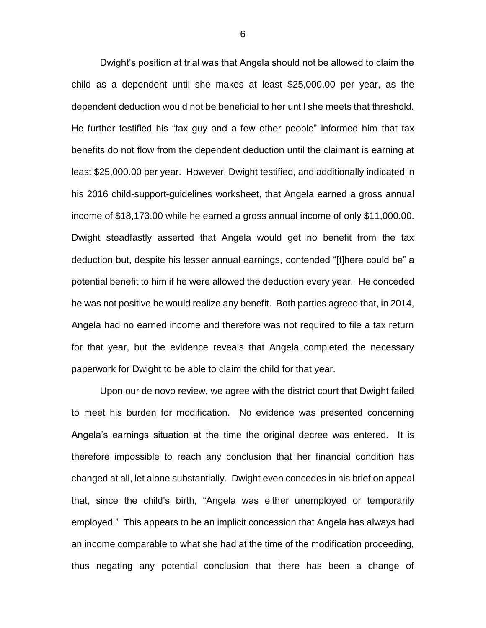Dwight's position at trial was that Angela should not be allowed to claim the child as a dependent until she makes at least \$25,000.00 per year, as the dependent deduction would not be beneficial to her until she meets that threshold. He further testified his "tax guy and a few other people" informed him that tax benefits do not flow from the dependent deduction until the claimant is earning at least \$25,000.00 per year. However, Dwight testified, and additionally indicated in his 2016 child-support-guidelines worksheet, that Angela earned a gross annual income of \$18,173.00 while he earned a gross annual income of only \$11,000.00. Dwight steadfastly asserted that Angela would get no benefit from the tax deduction but, despite his lesser annual earnings, contended "[t]here could be" a potential benefit to him if he were allowed the deduction every year. He conceded he was not positive he would realize any benefit. Both parties agreed that, in 2014, Angela had no earned income and therefore was not required to file a tax return for that year, but the evidence reveals that Angela completed the necessary paperwork for Dwight to be able to claim the child for that year.

Upon our de novo review, we agree with the district court that Dwight failed to meet his burden for modification. No evidence was presented concerning Angela's earnings situation at the time the original decree was entered. It is therefore impossible to reach any conclusion that her financial condition has changed at all, let alone substantially. Dwight even concedes in his brief on appeal that, since the child's birth, "Angela was either unemployed or temporarily employed." This appears to be an implicit concession that Angela has always had an income comparable to what she had at the time of the modification proceeding, thus negating any potential conclusion that there has been a change of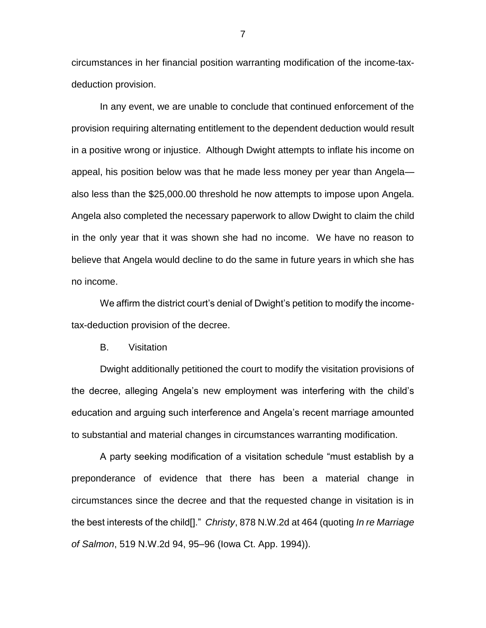circumstances in her financial position warranting modification of the income-taxdeduction provision.

In any event, we are unable to conclude that continued enforcement of the provision requiring alternating entitlement to the dependent deduction would result in a positive wrong or injustice. Although Dwight attempts to inflate his income on appeal, his position below was that he made less money per year than Angela also less than the \$25,000.00 threshold he now attempts to impose upon Angela. Angela also completed the necessary paperwork to allow Dwight to claim the child in the only year that it was shown she had no income. We have no reason to believe that Angela would decline to do the same in future years in which she has no income.

We affirm the district court's denial of Dwight's petition to modify the incometax-deduction provision of the decree.

B. Visitation

Dwight additionally petitioned the court to modify the visitation provisions of the decree, alleging Angela's new employment was interfering with the child's education and arguing such interference and Angela's recent marriage amounted to substantial and material changes in circumstances warranting modification.

A party seeking modification of a visitation schedule "must establish by a preponderance of evidence that there has been a material change in circumstances since the decree and that the requested change in visitation is in the best interests of the child[]." *Christy*, 878 N.W.2d at 464 (quoting *In re Marriage of Salmon*, 519 N.W.2d 94, 95–96 (Iowa Ct. App. 1994)).

7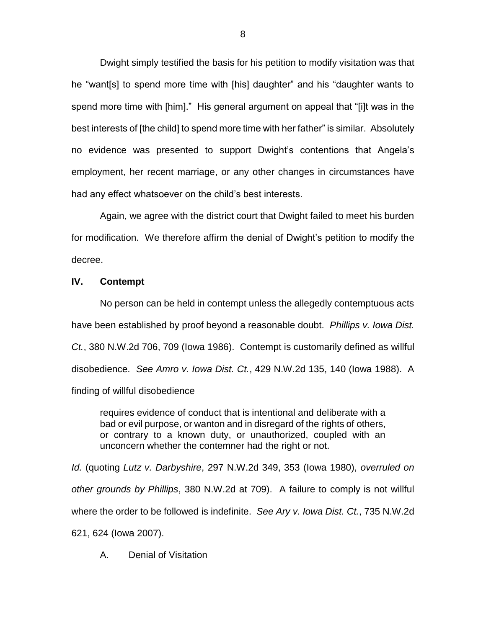Dwight simply testified the basis for his petition to modify visitation was that he "want[s] to spend more time with [his] daughter" and his "daughter wants to spend more time with [him]." His general argument on appeal that "[i]t was in the best interests of [the child] to spend more time with her father" is similar. Absolutely no evidence was presented to support Dwight's contentions that Angela's employment, her recent marriage, or any other changes in circumstances have had any effect whatsoever on the child's best interests.

Again, we agree with the district court that Dwight failed to meet his burden for modification. We therefore affirm the denial of Dwight's petition to modify the decree.

# **IV. Contempt**

No person can be held in contempt unless the allegedly contemptuous acts have been established by proof beyond a reasonable doubt. *Phillips v. Iowa Dist. Ct.*, 380 N.W.2d 706, 709 (Iowa 1986). Contempt is customarily defined as willful disobedience. *See Amro v. Iowa Dist. Ct.*, 429 N.W.2d 135, 140 (Iowa 1988). A finding of willful disobedience

requires evidence of conduct that is intentional and deliberate with a bad or evil purpose, or wanton and in disregard of the rights of others, or contrary to a known duty, or unauthorized, coupled with an unconcern whether the contemner had the right or not.

*Id.* (quoting *Lutz v. Darbyshire*, 297 N.W.2d 349, 353 (Iowa 1980), *overruled on other grounds by Phillips*, 380 N.W.2d at 709). A failure to comply is not willful where the order to be followed is indefinite. *See Ary v. Iowa Dist. Ct.*, 735 N.W.2d 621, 624 (Iowa 2007).

A. Denial of Visitation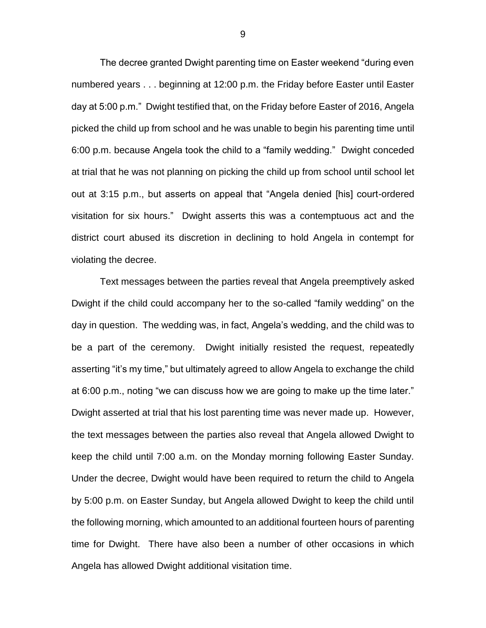The decree granted Dwight parenting time on Easter weekend "during even numbered years . . . beginning at 12:00 p.m. the Friday before Easter until Easter day at 5:00 p.m." Dwight testified that, on the Friday before Easter of 2016, Angela picked the child up from school and he was unable to begin his parenting time until 6:00 p.m. because Angela took the child to a "family wedding." Dwight conceded at trial that he was not planning on picking the child up from school until school let out at 3:15 p.m., but asserts on appeal that "Angela denied [his] court-ordered visitation for six hours." Dwight asserts this was a contemptuous act and the district court abused its discretion in declining to hold Angela in contempt for violating the decree.

Text messages between the parties reveal that Angela preemptively asked Dwight if the child could accompany her to the so-called "family wedding" on the day in question. The wedding was, in fact, Angela's wedding, and the child was to be a part of the ceremony. Dwight initially resisted the request, repeatedly asserting "it's my time," but ultimately agreed to allow Angela to exchange the child at 6:00 p.m., noting "we can discuss how we are going to make up the time later." Dwight asserted at trial that his lost parenting time was never made up. However, the text messages between the parties also reveal that Angela allowed Dwight to keep the child until 7:00 a.m. on the Monday morning following Easter Sunday. Under the decree, Dwight would have been required to return the child to Angela by 5:00 p.m. on Easter Sunday, but Angela allowed Dwight to keep the child until the following morning, which amounted to an additional fourteen hours of parenting time for Dwight. There have also been a number of other occasions in which Angela has allowed Dwight additional visitation time.

9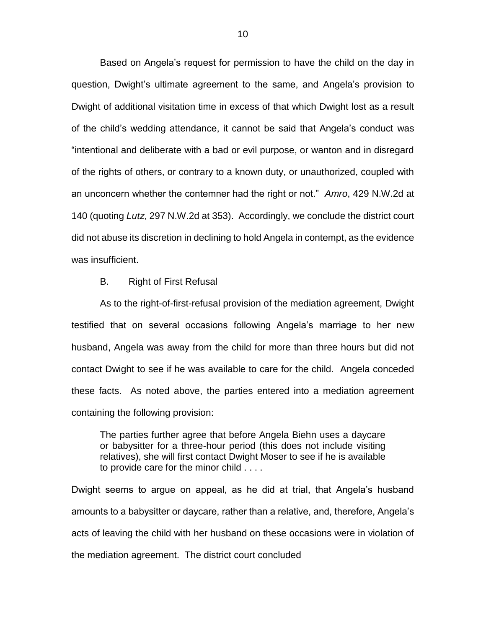Based on Angela's request for permission to have the child on the day in question, Dwight's ultimate agreement to the same, and Angela's provision to Dwight of additional visitation time in excess of that which Dwight lost as a result of the child's wedding attendance, it cannot be said that Angela's conduct was "intentional and deliberate with a bad or evil purpose, or wanton and in disregard of the rights of others, or contrary to a known duty, or unauthorized, coupled with an unconcern whether the contemner had the right or not." *Amro*, 429 N.W.2d at 140 (quoting *Lutz*, 297 N.W.2d at 353). Accordingly, we conclude the district court did not abuse its discretion in declining to hold Angela in contempt, as the evidence was insufficient.

#### B. Right of First Refusal

As to the right-of-first-refusal provision of the mediation agreement, Dwight testified that on several occasions following Angela's marriage to her new husband, Angela was away from the child for more than three hours but did not contact Dwight to see if he was available to care for the child. Angela conceded these facts. As noted above, the parties entered into a mediation agreement containing the following provision:

The parties further agree that before Angela Biehn uses a daycare or babysitter for a three-hour period (this does not include visiting relatives), she will first contact Dwight Moser to see if he is available to provide care for the minor child . . . .

Dwight seems to argue on appeal, as he did at trial, that Angela's husband amounts to a babysitter or daycare, rather than a relative, and, therefore, Angela's acts of leaving the child with her husband on these occasions were in violation of the mediation agreement. The district court concluded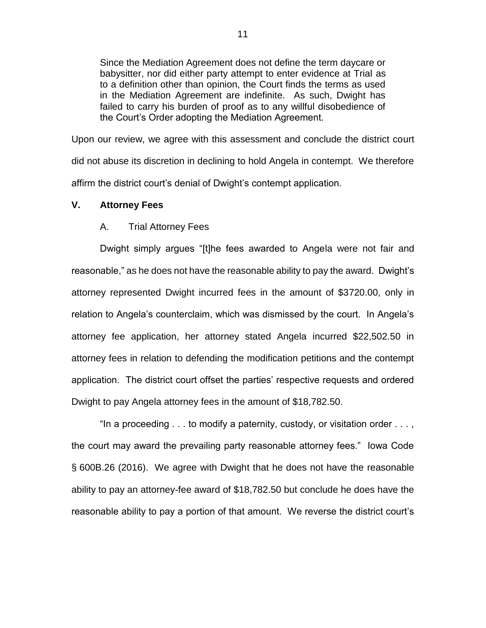Since the Mediation Agreement does not define the term daycare or babysitter, nor did either party attempt to enter evidence at Trial as to a definition other than opinion, the Court finds the terms as used in the Mediation Agreement are indefinite. As such, Dwight has failed to carry his burden of proof as to any willful disobedience of the Court's Order adopting the Mediation Agreement.

Upon our review, we agree with this assessment and conclude the district court did not abuse its discretion in declining to hold Angela in contempt. We therefore affirm the district court's denial of Dwight's contempt application.

# **V. Attorney Fees**

# A. Trial Attorney Fees

Dwight simply argues "[t]he fees awarded to Angela were not fair and reasonable," as he does not have the reasonable ability to pay the award. Dwight's attorney represented Dwight incurred fees in the amount of \$3720.00, only in relation to Angela's counterclaim, which was dismissed by the court. In Angela's attorney fee application, her attorney stated Angela incurred \$22,502.50 in attorney fees in relation to defending the modification petitions and the contempt application. The district court offset the parties' respective requests and ordered Dwight to pay Angela attorney fees in the amount of \$18,782.50.

"In a proceeding . . . to modify a paternity, custody, or visitation order . . . , the court may award the prevailing party reasonable attorney fees." Iowa Code § 600B.26 (2016). We agree with Dwight that he does not have the reasonable ability to pay an attorney-fee award of \$18,782.50 but conclude he does have the reasonable ability to pay a portion of that amount. We reverse the district court's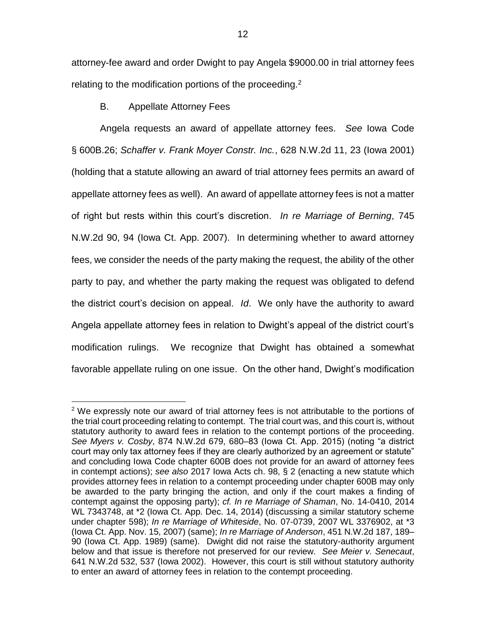attorney-fee award and order Dwight to pay Angela \$9000.00 in trial attorney fees relating to the modification portions of the proceeding.<sup>2</sup>

B. Appellate Attorney Fees

 $\overline{a}$ 

Angela requests an award of appellate attorney fees. *See* Iowa Code § 600B.26; *Schaffer v. Frank Moyer Constr. Inc.*, 628 N.W.2d 11, 23 (Iowa 2001) (holding that a statute allowing an award of trial attorney fees permits an award of appellate attorney fees as well). An award of appellate attorney fees is not a matter of right but rests within this court's discretion. *In re Marriage of Berning*, 745 N.W.2d 90, 94 (Iowa Ct. App. 2007). In determining whether to award attorney fees, we consider the needs of the party making the request, the ability of the other party to pay, and whether the party making the request was obligated to defend the district court's decision on appeal. *Id*. We only have the authority to award Angela appellate attorney fees in relation to Dwight's appeal of the district court's modification rulings. We recognize that Dwight has obtained a somewhat favorable appellate ruling on one issue. On the other hand, Dwight's modification

 $2$  We expressly note our award of trial attorney fees is not attributable to the portions of the trial court proceeding relating to contempt. The trial court was, and this court is, without statutory authority to award fees in relation to the contempt portions of the proceeding. *See Myers v. Cosby*, 874 N.W.2d 679, 680–83 (Iowa Ct. App. 2015) (noting "a district court may only tax attorney fees if they are clearly authorized by an agreement or statute" and concluding Iowa Code chapter 600B does not provide for an award of attorney fees in contempt actions); *see also* 2017 Iowa Acts ch. 98, § 2 (enacting a new statute which provides attorney fees in relation to a contempt proceeding under chapter 600B may only be awarded to the party bringing the action, and only if the court makes a finding of contempt against the opposing party); *cf. In re Marriage of Shaman*, No. 14-0410, 2014 WL 7343748, at \*2 (Iowa Ct. App. Dec. 14, 2014) (discussing a similar statutory scheme under chapter 598); *In re Marriage of Whiteside*, No. 07-0739, 2007 WL 3376902, at \*3 (Iowa Ct. App. Nov. 15, 2007) (same); *In re Marriage of Anderson*, 451 N.W.2d 187, 189– 90 (Iowa Ct. App. 1989) (same). Dwight did not raise the statutory-authority argument below and that issue is therefore not preserved for our review. *See Meier v. Senecaut*, 641 N.W.2d 532, 537 (Iowa 2002). However, this court is still without statutory authority to enter an award of attorney fees in relation to the contempt proceeding.